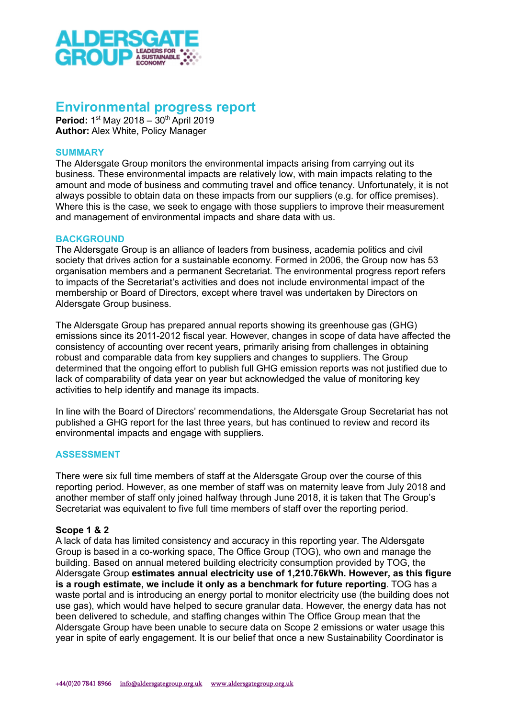

# Environmental progress report

Period: 1<sup>st</sup> May 2018 - 30<sup>th</sup> April 2019 Author: Alex White, Policy Manager

## **SUMMARY**

The Aldersgate Group monitors the environmental impacts arising from carrying out its business. These environmental impacts are relatively low, with main impacts relating to the amount and mode of business and commuting travel and office tenancy. Unfortunately, it is not always possible to obtain data on these impacts from our suppliers (e.g. for office premises). Where this is the case, we seek to engage with those suppliers to improve their measurement and management of environmental impacts and share data with us.

### **BACKGROUND**

The Aldersgate Group is an alliance of leaders from business, academia politics and civil society that drives action for a sustainable economy. Formed in 2006, the Group now has 53 organisation members and a permanent Secretariat. The environmental progress report refers to impacts of the Secretariat's activities and does not include environmental impact of the membership or Board of Directors, except where travel was undertaken by Directors on Aldersgate Group business.

The Aldersgate Group has prepared annual reports showing its greenhouse gas (GHG) emissions since its 2011-2012 fiscal year. However, changes in scope of data have affected the consistency of accounting over recent years, primarily arising from challenges in obtaining robust and comparable data from key suppliers and changes to suppliers. The Group determined that the ongoing effort to publish full GHG emission reports was not justified due to lack of comparability of data year on year but acknowledged the value of monitoring key activities to help identify and manage its impacts.

In line with the Board of Directors' recommendations, the Aldersgate Group Secretariat has not published a GHG report for the last three years, but has continued to review and record its environmental impacts and engage with suppliers.

# ASSESSMENT

There were six full time members of staff at the Aldersgate Group over the course of this reporting period. However, as one member of staff was on maternity leave from July 2018 and another member of staff only joined halfway through June 2018, it is taken that The Group's Secretariat was equivalent to five full time members of staff over the reporting period.

### Scope 1 & 2

A lack of data has limited consistency and accuracy in this reporting year. The Aldersgate Group is based in a co-working space, The Office Group (TOG), who own and manage the building. Based on annual metered building electricity consumption provided by TOG, the Aldersgate Group estimates annual electricity use of 1,210.76kWh. However, as this figure is a rough estimate, we include it only as a benchmark for future reporting. TOG has a waste portal and is introducing an energy portal to monitor electricity use (the building does not use gas), which would have helped to secure granular data. However, the energy data has not been delivered to schedule, and staffing changes within The Office Group mean that the Aldersgate Group have been unable to secure data on Scope 2 emissions or water usage this year in spite of early engagement. It is our belief that once a new Sustainability Coordinator is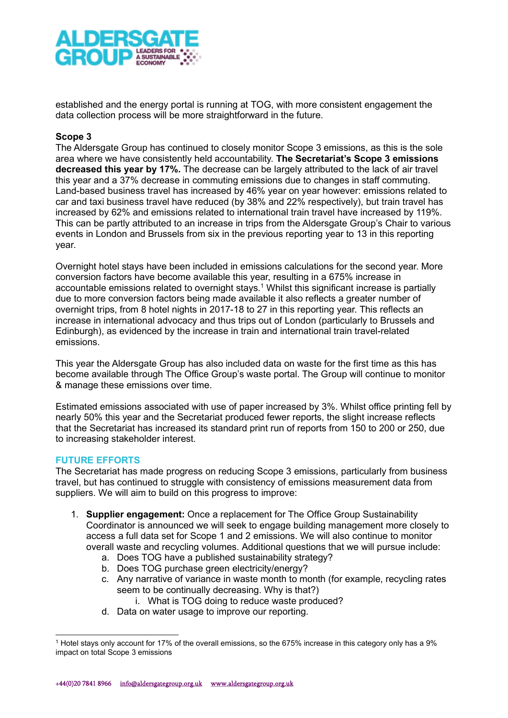

established and the energy portal is running at TOG, with more consistent engagement the data collection process will be more straightforward in the future.

## Scope 3

The Aldersgate Group has continued to closely monitor Scope 3 emissions, as this is the sole area where we have consistently held accountability. The Secretariat's Scope 3 emissions decreased this year by 17%. The decrease can be largely attributed to the lack of air travel this year and a 37% decrease in commuting emissions due to changes in staff commuting. Land-based business travel has increased by 46% year on year however: emissions related to car and taxi business travel have reduced (by 38% and 22% respectively), but train travel has increased by 62% and emissions related to international train travel have increased by 119%. This can be partly attributed to an increase in trips from the Aldersgate Group's Chair to various events in London and Brussels from six in the previous reporting year to 13 in this reporting year.

Overnight hotel stays have been included in emissions calculations for the second year. More conversion factors have become available this year, resulting in a 675% increase in accountable emissions related to overnight stays.<sup>1</sup> Whilst this significant increase is partially due to more conversion factors being made available it also reflects a greater number of overnight trips, from 8 hotel nights in 2017-18 to 27 in this reporting year. This reflects an increase in international advocacy and thus trips out of London (particularly to Brussels and Edinburgh), as evidenced by the increase in train and international train travel-related emissions.

This year the Aldersgate Group has also included data on waste for the first time as this has become available through The Office Group's waste portal. The Group will continue to monitor & manage these emissions over time.

Estimated emissions associated with use of paper increased by 3%. Whilst office printing fell by nearly 50% this year and the Secretariat produced fewer reports, the slight increase reflects that the Secretariat has increased its standard print run of reports from 150 to 200 or 250, due to increasing stakeholder interest.

# FUTURE EFFORTS

The Secretariat has made progress on reducing Scope 3 emissions, particularly from business travel, but has continued to struggle with consistency of emissions measurement data from suppliers. We will aim to build on this progress to improve:

- 1. Supplier engagement: Once a replacement for The Office Group Sustainability Coordinator is announced we will seek to engage building management more closely to access a full data set for Scope 1 and 2 emissions. We will also continue to monitor overall waste and recycling volumes. Additional questions that we will pursue include:
	- a. Does TOG have a published sustainability strategy?
	- b. Does TOG purchase green electricity/energy?
	- c. Any narrative of variance in waste month to month (for example, recycling rates seem to be continually decreasing. Why is that?)
		- i. What is TOG doing to reduce waste produced?
	- d. Data on water usage to improve our reporting.

<sup>1</sup> Hotel stays only account for 17% of the overall emissions, so the 675% increase in this category only has a 9% impact on total Scope 3 emissions